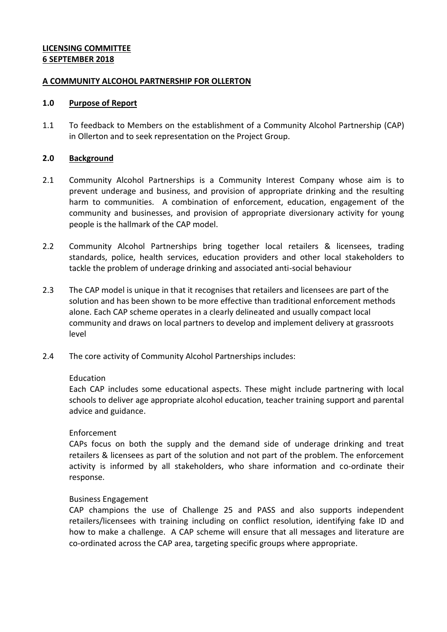## **LICENSING COMMITTEE 6 SEPTEMBER 2018**

### **A COMMUNITY ALCOHOL PARTNERSHIP FOR OLLERTON**

#### **1.0 Purpose of Report**

1.1 To feedback to Members on the establishment of a Community Alcohol Partnership (CAP) in Ollerton and to seek representation on the Project Group.

### **2.0 Background**

- 2.1 Community Alcohol Partnerships is a Community Interest Company whose aim is to prevent underage and business, and provision of appropriate drinking and the resulting harm to communities. A combination of enforcement, education, engagement of the community and businesses, and provision of appropriate diversionary activity for young people is the hallmark of the CAP model.
- 2.2 Community Alcohol Partnerships bring together local retailers & licensees, trading standards, police, health services, education providers and other local stakeholders to tackle the problem of underage drinking and associated anti-social behaviour
- 2.3 The CAP model is unique in that it recognises that retailers and licensees are part of the solution and has been shown to be more effective than traditional enforcement methods alone. Each CAP scheme operates in a clearly delineated and usually compact local community and draws on local partners to develop and implement delivery at grassroots level
- 2.4 The core activity of Community Alcohol Partnerships includes:

### Education

Each CAP includes some educational aspects. These might include partnering with local schools to deliver age appropriate alcohol education, teacher training support and parental advice and guidance.

### Enforcement

CAPs focus on both the supply and the demand side of underage drinking and treat retailers & licensees as part of the solution and not part of the problem. The enforcement activity is informed by all stakeholders, who share information and co-ordinate their response.

### Business Engagement

CAP champions the use of Challenge 25 and PASS and also supports independent retailers/licensees with training including on conflict resolution, identifying fake ID and how to make a challenge. A CAP scheme will ensure that all messages and literature are co-ordinated across the CAP area, targeting specific groups where appropriate.